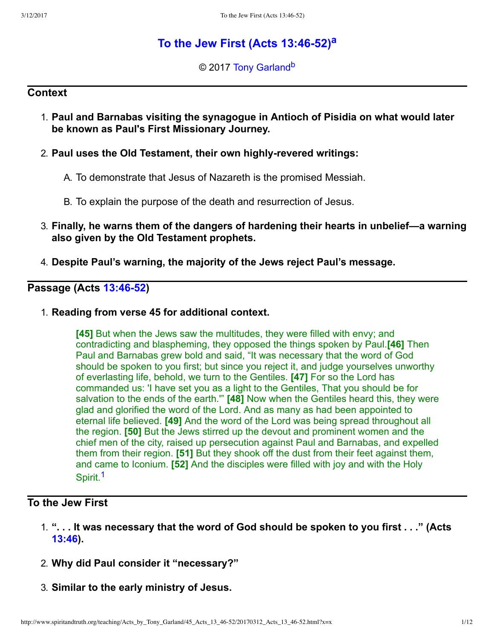# **To the Jew First (Acts 13:46-52)**<sup>[a](#page-11-0)</sup>

<span id="page-0-2"></span><span id="page-0-1"></span>© 2017 [Tony Garland](http://www.spiritandtruth.org/id/tg.htm)<sup>[b](#page-11-1)</sup>

## **Context**

1. **Paul and Barnabas visiting the synagogue in Antioch of Pisidia on what would later be known as Paul's First Missionary Journey.**

## 2. **Paul uses the Old Testament, their own highlyrevered writings:**

- A. To demonstrate that Jesus of Nazareth is the promised Messiah.
- B. To explain the purpose of the death and resurrection of Jesus.
- 3. **Finally, he warns them of the dangers of hardening their hearts in unbelief—a warning also given by the Old Testament prophets.**
- 4. **Despite Paul's warning, the majority of the Jews reject Paul's message.**

## **Passage (Acts 13:46-52)**

1. **Reading from verse 45 for additional context.**

**[45]** But when the Jews saw the multitudes, they were filled with envy; and contradicting and blaspheming, they opposed the things spoken by Paul.**[46]** Then Paul and Barnabas grew bold and said, "It was necessary that the word of God should be spoken to you first; but since you reject it, and judge yourselves unworthy of everlasting life, behold, we turn to the Gentiles. **[47]** For so the Lord has commanded us: 'I have set you as a light to the Gentiles, That you should be for salvation to the ends of the earth.'" **[48]** Now when the Gentiles heard this, they were glad and glorified the word of the Lord. And as many as had been appointed to eternal life believed. **[49]** And the word of the Lord was being spread throughout all the region. **[50]** But the Jews stirred up the devout and prominent women and the chief men of the city, raised up persecution against Paul and Barnabas, and expelled them from their region. **[51]** But they shook off the dust from their feet against them, and came to Iconium. **[52]** And the disciples were filled with joy and with the Holy Spirit.<sup>[1](#page-10-0)</sup>

## <span id="page-0-0"></span>**To the Jew First**

- 1. **". . . It was necessary that the word of God should be spoken to you first . . ." (Acts [13:46](http://www.spiritandtruth.org/bibles/nasb/b44c013.htm#Acts_C13V46)).**
- 2. **Why did Paul consider it "necessary?"**
- 3. **Similar to the early ministry of Jesus.**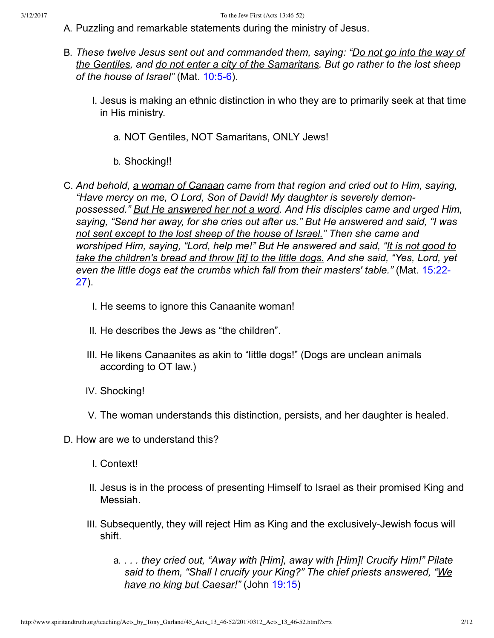- A. Puzzling and remarkable statements during the ministry of Jesus.
- B. *These twelve Jesus sent out and commanded them, saying: "Do not go into the way of the Gentiles, and do not enter a city of the Samaritans. But go rather to the lost sheep* of the house of Israel" (Mat. 10:5-6).
	- I. Jesus is making an ethnic distinction in who they are to primarily seek at that time in His ministry.
		- a. NOT Gentiles, NOT Samaritans, ONLY Jews!
		- b. Shocking!!
- C. *And behold, a woman of Canaan came from that region and cried out to Him, saying, "Have mercy on me, O Lord, Son of David! My daughter is severely demonpossessed." But He answered her not a word. And His disciples came and urged Him, saying, "Send her away, for she cries out after us." But He answered and said, "I was not sent except to the lost sheep of the house of Israel." Then she came and worshiped Him, saying, "Lord, help me!" But He answered and said, "It is not good to take the children's bread and throw [it] to the little dogs. And she said, "Yes, Lord, yet [even the little dogs eat the crumbs which fall from their masters' table."](http://www.spiritandtruth.org/bibles/nasb/b40c015.htm#Mat._C15V22)* (Mat. 15:22 27).
	- I. He seems to ignore this Canaanite woman!
	- II. He describes the Jews as "the children".
	- III. He likens Canaanites as akin to "little dogs!" (Dogs are unclean animals according to OT law.)
	- IV. Shocking!
	- V. The woman understands this distinction, persists, and her daughter is healed.
- D. How are we to understand this?
	- I. Context!
	- II. Jesus is in the process of presenting Himself to Israel as their promised King and Messiah.
	- III. Subsequently, they will reject Him as King and the exclusively-Jewish focus will shift.
		- a. *. . . they cried out, "Away with [Him], away with [Him]! Crucify Him!" Pilate said to them, "Shall I crucify your King?" The chief priests answered, "We have no king but Caesar!"* (John [19:15\)](http://www.spiritandtruth.org/bibles/nasb/b43c019.htm#John_C19V15)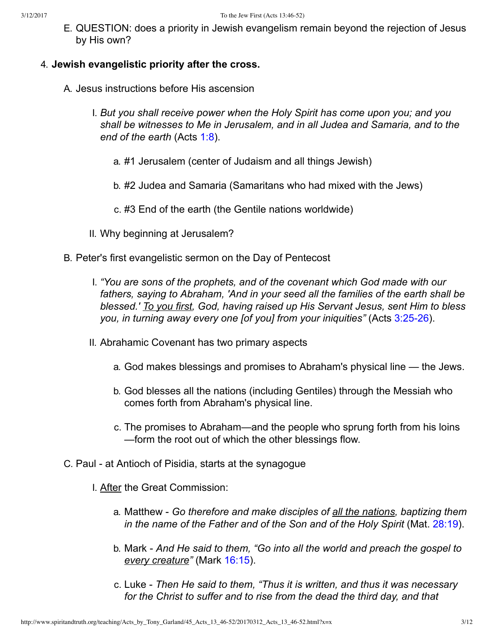E. QUESTION: does a priority in Jewish evangelism remain beyond the rejection of Jesus by His own?

### 4. **Jewish evangelistic priority after the cross.**

- A. Jesus instructions before His ascension
	- I. *But you shall receive power when the Holy Spirit has come upon you; and you shall be witnesses to Me in Jerusalem, and in all Judea and Samaria, and to the end of the earth* (Acts [1:8\)](http://www.spiritandtruth.org/bibles/nasb/b44c001.htm#Acts_C1V8).
		- a. #1 Jerusalem (center of Judaism and all things Jewish)
		- b. #2 Judea and Samaria (Samaritans who had mixed with the Jews)
		- c. #3 End of the earth (the Gentile nations worldwide)
	- II. Why beginning at Jerusalem?
- B. Peter's first evangelistic sermon on the Day of Pentecost
	- I. *"You are sons of the prophets, and of the covenant which God made with our fathers, saying to Abraham, 'And in your seed all the families of the earth shall be blessed.' To you first, God, having raised up His Servant Jesus, sent Him to bless you, in turning away every one [of you] from your iniquities"* (Acts 3:25-26).
	- II. Abrahamic Covenant has two primary aspects
		- a. God makes blessings and promises to Abraham's physical line the Jews.
		- b. God blesses all the nations (including Gentiles) through the Messiah who comes forth from Abraham's physical line.
		- c. The promises to Abraham—and the people who sprung forth from his loins —form the root out of which the other blessings flow.
- C. Paul at Antioch of Pisidia, starts at the synagogue
	- I. After the Great Commission:
		- a. Matthew *Go therefore and make disciples of all the nations, baptizing them in the name of the Father and of the Son and of the Holy Spirit* (Mat. [28:19](http://www.spiritandtruth.org/bibles/nasb/b40c028.htm#Mat._C28V19)).
		- b. Mark *And He said to them, "Go into all the world and preach the gospel to every creature"* (Mark [16:15\)](http://www.spiritandtruth.org/bibles/nasb/b41c016.htm#Mark_C16V15).
		- c. Luke *Then He said to them, "Thus it is written, and thus it was necessary for the Christ to suffer and to rise from the dead the third day, and that*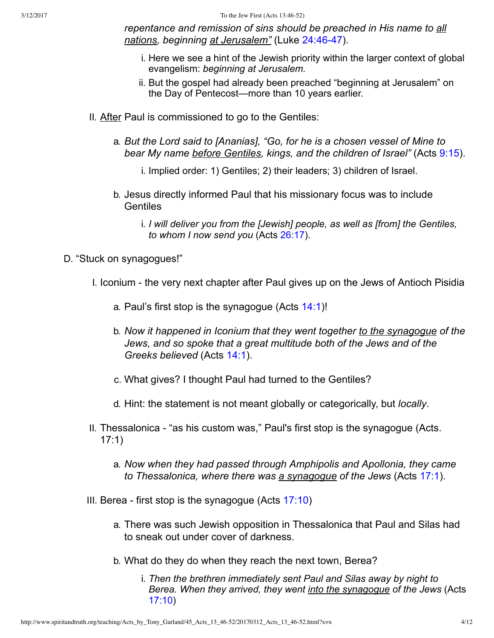3/12/2017 To the Jew First (Acts 13:46-52)

*repentance and remission of sins should be preached in His name to all* nations, beginning at Jerusalem" (Luke 24:46-47).

- i. Here we see a hint of the Jewish priority within the larger context of global evangelism: *beginning at Jerusalem.*
- ii. But the gospel had already been preached "beginning at Jerusalem" on the Day of Pentecost—more than 10 years earlier.
- II. After Paul is commissioned to go to the Gentiles:
	- a. *But the Lord said to [Ananias], "Go, for he is a chosen vessel of Mine to bear My name before Gentiles, kings, and the children of Israel"* (Acts [9:15](http://www.spiritandtruth.org/bibles/nasb/b44c009.htm#Acts_C9V15)).
		- i. Implied order: 1) Gentiles; 2) their leaders; 3) children of Israel.
	- b. Jesus directly informed Paul that his missionary focus was to include **Gentiles** 
		- i. *I will deliver you from the [Jewish] people, as well as [from] the Gentiles, to whom I now send you* (Acts [26:17\)](http://www.spiritandtruth.org/bibles/nasb/b44c026.htm#Acts_C26V17).
- D. "Stuck on synagogues!"
	- I. Iconium the very next chapter after Paul gives up on the Jews of Antioch Pisidia
		- a. Paul's first stop is the synagogue (Acts [14:1](http://www.spiritandtruth.org/bibles/nasb/b44c014.htm#Acts_C14V1))!
		- b. *Now it happened in Iconium that they went together to the synagogue of the Jews, and so spoke that a great multitude both of the Jews and of the Greeks believed* (Acts [14:1\)](http://www.spiritandtruth.org/bibles/nasb/b44c014.htm#Acts_C14V1).
		- c. What gives? I thought Paul had turned to the Gentiles?
		- d. Hint: the statement is not meant globally or categorically, but *locally*.
	- II. Thessalonica "as his custom was," Paul's first stop is the synagogue (Acts. 17:1)
		- a. *Now when they had passed through Amphipolis and Apollonia, they came to Thessalonica, where there was a synagogue of the Jews* (Acts [17:1](http://www.spiritandtruth.org/bibles/nasb/b44c017.htm#Acts_C17V1)).
	- III. Berea first stop is the synagogue (Acts  $17:10$ )
		- a. There was such Jewish opposition in Thessalonica that Paul and Silas had to sneak out under cover of darkness.
		- b. What do they do when they reach the next town, Berea?
			- i. *Then the brethren immediately sent Paul and Silas away by night to Berea. When they arrived, they went into the synagogue of the Jews* (Acts [17:10](http://www.spiritandtruth.org/bibles/nasb/b44c017.htm#Acts_C17V10))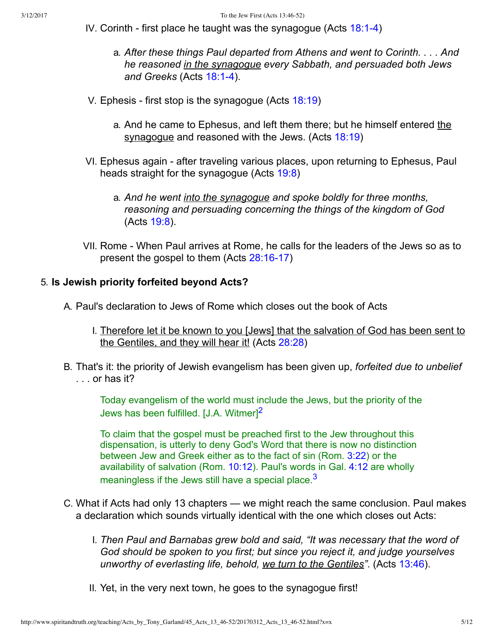- IV. Corinth first place he taught was the synagogue (Acts  $18:1-4$ )
	- a. *After these things Paul departed from Athens and went to Corinth. . . . And he reasoned in the synagogue every Sabbath, and persuaded both Jews* and Greeks (Acts 18:1-4).
- V. Ephesis first stop is the synagogue (Acts  $18:19$ )
	- a. And he came to Ephesus, and left them there; but he himself entered the synagogue and reasoned with the Jews. (Acts [18:19](http://www.spiritandtruth.org/bibles/nasb/b44c018.htm#Acts_C18V19))
- VI. Ephesus again after traveling various places, upon returning to Ephesus, Paul heads straight for the synagogue (Acts [19:8\)](http://www.spiritandtruth.org/bibles/nasb/b44c019.htm#Acts_C19V8)
	- a. *And he went into the synagogue and spoke boldly for three months, reasoning and persuading concerning the things of the kingdom of God* (Acts [19:8\)](http://www.spiritandtruth.org/bibles/nasb/b44c019.htm#Acts_C19V8).
- VII. Rome When Paul arrives at Rome, he calls for the leaders of the Jews so as to present the gospel to them  $(Acts 28:16-17)$

### 5. **Is Jewish priority forfeited beyond Acts?**

- A. Paul's declaration to Jews of Rome which closes out the book of Acts
	- I. Therefore let it be known to you [Jews] that the salvation of God has been sent to the Gentiles, and they will hear it! (Acts [28:28\)](http://www.spiritandtruth.org/bibles/nasb/b44c028.htm#Acts_C28V28)
- B. That's it: the priority of Jewish evangelism has been given up, *forfeited due to unbelief* . . . or has it?

<span id="page-4-0"></span>Today evangelism of the world must include the Jews, but the priority of the Jews has been fulfilled. [J.A. Witmer<sup>1[2](#page-10-1)</sup>

<span id="page-4-1"></span>To claim that the gospel must be preached first to the Jew throughout this dispensation, is utterly to deny God's Word that there is now no distinction between Jew and Greek either as to the fact of sin (Rom. [3:22\)](http://www.spiritandtruth.org/bibles/nasb/b45c003.htm#Rom._C3V22) or the availability of salvation (Rom. [10:12](http://www.spiritandtruth.org/bibles/nasb/b45c010.htm#Rom._C10V12)). Paul's words in Gal. [4:12](http://www.spiritandtruth.org/bibles/nasb/b48c004.htm#Gal._C4V12) are wholly meaningless if the Jews still have a special place.  $3$ 

- C. What if Acts had only 13 chapters we might reach the same conclusion. Paul makes a declaration which sounds virtually identical with the one which closes out Acts:
	- I. *Then Paul and Barnabas grew bold and said, "It was necessary that the word of God should be spoken to you first; but since you reject it, and judge yourselves unworthy of everlasting life, behold, we turn to the Gentiles"*. (Acts [13:46](http://www.spiritandtruth.org/bibles/nasb/b44c013.htm#Acts_C13V46)).
	- II. Yet, in the very next town, he goes to the synagogue first!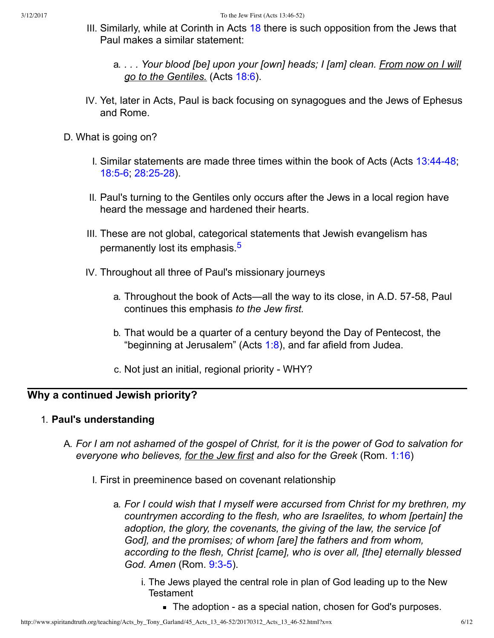- III. Similarly, while at Corinth in Acts [18](http://www.spiritandtruth.org/bibles/nasb/b44c018.htm#Acts_C18V1) there is such opposition from the Jews that Paul makes a similar statement:
	- a. *. . . Your blood [be] upon your [own] heads; I [am] clean. From now on I will go to the Gentiles.* (Acts [18:6\)](http://www.spiritandtruth.org/bibles/nasb/b44c018.htm#Acts_C18V6).
- IV. Yet, later in Acts, Paul is back focusing on synagogues and the Jews of Ephesus and Rome.
- <span id="page-5-0"></span>D. What is going on?
	- I. Similar statements are made three times within the book of Acts (Acts  $13:44-48$ ; 18:5-6; 28:25-28).
	- II. Paul's turning to the Gentiles only occurs after the Jews in a local region have heard the message and hardened their hearts.
	- III. These are not global, categorical statements that Jewish evangelism has permanently lost its emphasis.<sup>[5](#page-10-3)</sup>
	- IV. Throughout all three of Paul's missionary journeys
		- a. Throughout the book of Acts—all the way to its close, in A.D. 57-58, Paul continues this emphasis *to the Jew first.*
		- b. That would be a quarter of a century beyond the Day of Pentecost, the "beginning at Jerusalem" (Acts  $1:8$ ), and far afield from Judea.
		- c. Not just an initial, regional priority WHY?

# **Why a continued Jewish priority?**

### 1. **Paul's understanding**

- A. *For I am not ashamed of the gospel of Christ, for it is the power of God to salvation for everyone who believes, for the Jew first and also for the Greek* (Rom. [1:16](http://www.spiritandtruth.org/bibles/nasb/b45c001.htm#Rom._C1V16))
	- I. First in preeminence based on covenant relationship
		- a. *For I could wish that I myself were accursed from Christ for my brethren, my countrymen according to the flesh, who are Israelites, to whom [pertain] the adoption, the glory, the covenants, the giving of the law, the service [of God], and the promises; of whom [are] the fathers and from whom, according to the flesh, Christ [came], who is over all, [the] eternally blessed God. Amen* (Rom. 9:3-5).
			- i. The Jews played the central role in plan of God leading up to the New Testament
				- The adoption as a special nation, chosen for God's purposes.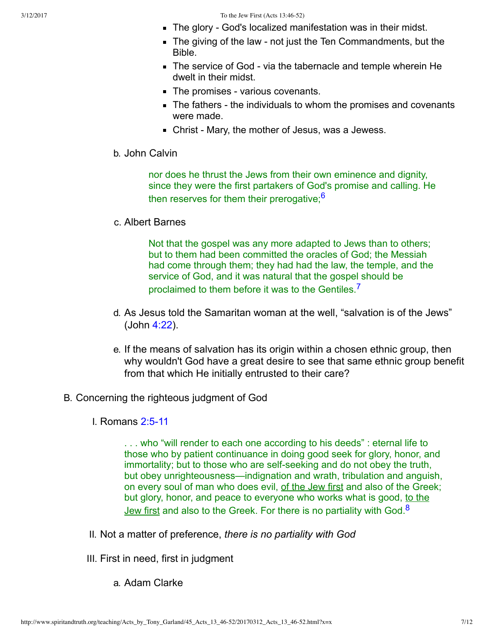- The glory God's localized manifestation was in their midst.
- $\blacksquare$  The giving of the law not just the Ten Commandments, but the Bible.
- The service of God via the tabernacle and temple wherein He dwelt in their midst.
- $\blacksquare$  The promises various covenants.
- $\blacksquare$  The fathers the individuals to whom the promises and covenants were made.
- <span id="page-6-0"></span> $\blacksquare$  Christ - Mary, the mother of Jesus, was a Jewess.
- b. John Calvin

nor does he thrust the Jews from their own eminence and dignity, since they were the first partakers of God's promise and calling. He then reserves for them their prerogative; $6$ 

c. Albert Barnes

<span id="page-6-1"></span>Not that the gospel was any more adapted to Jews than to others; but to them had been committed the oracles of God; the Messiah had come through them; they had had the law, the temple, and the service of God, and it was natural that the gospel should be proclaimed to them before it was to the Gentiles.<sup>[7](#page-10-5)</sup>

- d. As Jesus told the Samaritan woman at the well, "salvation is of the Jews" (John [4:22](http://www.spiritandtruth.org/bibles/nasb/b43c004.htm#John_C4V22)).
- e. If the means of salvation has its origin within a chosen ethnic group, then why wouldn't God have a great desire to see that same ethnic group benefit from that which He initially entrusted to their care?
- B. Concerning the righteous judgment of God
	- **I. Romans 2:5-11**

<span id="page-6-2"></span>. . . who "will render to each one according to his deeds" : eternal life to those who by patient continuance in doing good seek for glory, honor, and immortality; but to those who are self-seeking and do not obey the truth, but obey unrighteousness—indignation and wrath, tribulation and anguish, on every soul of man who does evil, of the Jew first and also of the Greek; but glory, honor, and peace to everyone who works what is good, to the Jew first and also to the Greek. For there is no partiality with God. $8$ 

- II. Not a matter of preference, *there is no partiality with God*
- III. First in need, first in judgment
	- a. Adam Clarke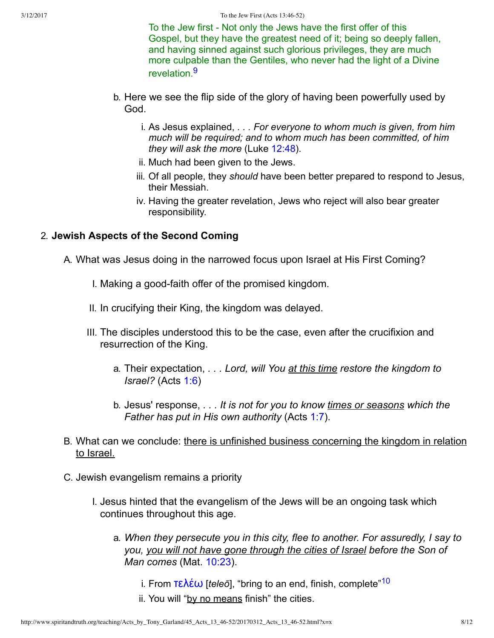<span id="page-7-0"></span>To the Jew first - Not only the Jews have the first offer of this Gospel, but they have the greatest need of it; being so deeply fallen, and having sinned against such glorious privileges, they are much more culpable than the Gentiles, who never had the light of a Divine revelation [9](#page-10-7)

- b. Here we see the flip side of the glory of having been powerfully used by God.
	- i. As Jesus explained, *. . . For everyone to whom much is given, from him much will be required; and to whom much has been committed, of him they will ask the more* (Luke [12:48\)](http://www.spiritandtruth.org/bibles/nasb/b42c012.htm#Luke_C12V48).
	- ii. Much had been given to the Jews.
	- iii. Of all people, they *should* have been better prepared to respond to Jesus, their Messiah.
	- iv. Having the greater revelation, Jews who reject will also bear greater responsibility.

## 2. **Jewish Aspects of the Second Coming**

A. What was Jesus doing in the narrowed focus upon Israel at His First Coming?

- I. Making a good-faith offer of the promised kingdom.
- II. In crucifying their King, the kingdom was delayed.
- III. The disciples understood this to be the case, even after the crucifixion and resurrection of the King.
	- a. Their expectation, *. . . Lord, will You at this time restore the kingdom to Israel?* (Acts [1:6](http://www.spiritandtruth.org/bibles/nasb/b44c001.htm#Acts_C1V6))
	- b. Jesus' response, *. . . It is not for you to know times or seasons which the Father has put in His own authority* (Acts [1:7](http://www.spiritandtruth.org/bibles/nasb/b44c001.htm#Acts_C1V7)).
- B. What can we conclude: there is unfinished business concerning the kingdom in relation to Israel.
- <span id="page-7-1"></span>C. Jewish evangelism remains a priority
	- I. Jesus hinted that the evangelism of the Jews will be an ongoing task which continues throughout this age.
		- a. *When they persecute you in this city, flee to another. For assuredly, I say to you, you will not have gone through the cities of Israel before the Son of Man comes* (Mat. [10:23](http://www.spiritandtruth.org/bibles/nasb/b40c010.htm#Mat._C10V23)).
			- i. From **τελέω** [*teleō*], "bring to an end, finish, complete"<sup>[10](#page-10-8)</sup>
			- ii. You will "by no means finish" the cities.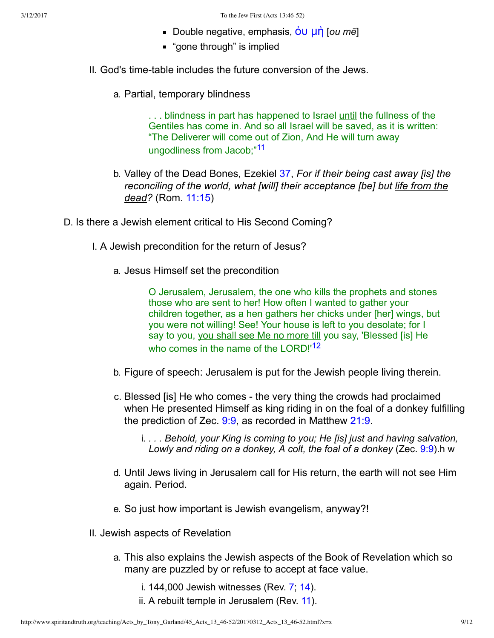- Double negative, emphasis, **ou un** [*ou mē*]
- **"** "gone through" is implied
- II. God's time-table includes the future conversion of the Jews.
	- a. Partial, temporary blindness

<span id="page-8-0"></span>. . . blindness in part has happened to Israel until the fullness of the Gentiles has come in. And so all Israel will be saved, as it is written: "The Deliverer will come out of Zion, And He will turn away ungodliness from Jacob;"<sup>[11](#page-10-9)</sup>

- b. Valley of the Dead Bones, Ezekiel [37,](http://www.spiritandtruth.org/bibles/nasb/b26c037.htm#Eze._C37V1) *For if their being cast away [is] the reconciling of the world, what [will] their acceptance [be] but life from the dead?* (Rom. [11:15](http://www.spiritandtruth.org/bibles/nasb/b45c011.htm#Rom._C11V15))
- D. Is there a Jewish element critical to His Second Coming?
	- I. A Jewish precondition for the return of Jesus?
		- a. Jesus Himself set the precondition

<span id="page-8-1"></span>O Jerusalem, Jerusalem, the one who kills the prophets and stones those who are sent to her! How often I wanted to gather your children together, as a hen gathers her chicks under [her] wings, but you were not willing! See! Your house is left to you desolate; for I say to you, you shall see Me no more till you say, 'Blessed [is] He who comes in the name of the LORD!<sup>[12](#page-10-10)</sup>

- b. Figure of speech: Jerusalem is put for the Jewish people living therein.
- c. Blessed [is] He who comes the very thing the crowds had proclaimed when He presented Himself as king riding in on the foal of a donkey fulfilling the prediction of Zec. [9:9,](http://www.spiritandtruth.org/bibles/nasb/b38c009.htm#Zec._C9V9) as recorded in Matthew [21:9.](http://www.spiritandtruth.org/bibles/nasb/b40c021.htm#Mat._C21V9)
	- i. *. . . Behold, your King is coming to you; He [is] just and having salvation, Lowly and riding on a donkey, A colt, the foal of a donkey* (Zec. [9:9\)](http://www.spiritandtruth.org/bibles/nasb/b38c009.htm#Zec._C9V9).h w
- d. Until Jews living in Jerusalem call for His return, the earth will not see Him again. Period.
- e. So just how important is Jewish evangelism, anyway?!
- II. Jewish aspects of Revelation
	- a. This also explains the Jewish aspects of the Book of Revelation which so many are puzzled by or refuse to accept at face value.
		- i. 144,000 Jewish witnesses (Rev. [7;](http://www.spiritandtruth.org/bibles/nasb/b66c007.htm#Rev._C7V1) [14\)](http://www.spiritandtruth.org/bibles/nasb/b66c014.htm#Rev._C14V1).
		- ii. A rebuilt temple in Jerusalem (Rev. [11\)](http://www.spiritandtruth.org/bibles/nasb/b66c011.htm#Rev._C11V1).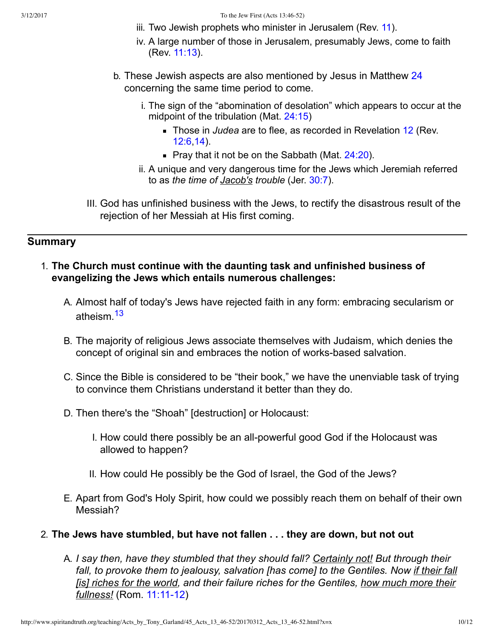- iii. Two Jewish prophets who minister in Jerusalem (Rev. [11](http://www.spiritandtruth.org/bibles/nasb/b66c011.htm#Rev._C11V1)).
- iv. A large number of those in Jerusalem, presumably Jews, come to faith (Rev. [11:13](http://www.spiritandtruth.org/bibles/nasb/b66c011.htm#Rev._C11V13)).
- b. These Jewish aspects are also mentioned by Jesus in Matthew [24](http://www.spiritandtruth.org/bibles/nasb/b40c024.htm#Mat._C24V1) concerning the same time period to come.
	- i. The sign of the "abomination of desolation" which appears to occur at the midpoint of the tribulation (Mat. [24:15](http://www.spiritandtruth.org/bibles/nasb/b40c024.htm#Mat._C24V15))
		- **Those in** *Judea* are to flee, as recorded in Revelation [12](http://www.spiritandtruth.org/bibles/nasb/b66c012.htm#Rev._C12V1) (Rev. [12:6](http://www.spiritandtruth.org/bibles/nasb/b66c012.htm#Rev._C12V6),[14](http://www.spiritandtruth.org/bibles/nasb/b66c012.htm#Rev._C12V14)).
		- Pray that it not be on the Sabbath (Mat.  $24:20$ ).
	- ii. A unique and very dangerous time for the Jews which Jeremiah referred to as *the time of Jacob's trouble* (Jer. [30:7\)](http://www.spiritandtruth.org/bibles/nasb/b24c030.htm#Jer._C30V7).
- III. God has unfinished business with the Jews, to rectify the disastrous result of the rejection of her Messiah at His first coming.

# **Summary**

- <span id="page-9-0"></span>1. **The Church must continue with the daunting task and unfinished business of evangelizing the Jews which entails numerous challenges:**
	- A. Almost half of today's Jews have rejected faith in any form: embracing secularism or atheism.<sup>[13](#page-10-11)</sup>
	- B. The majority of religious Jews associate themselves with Judaism, which denies the concept of original sin and embraces the notion of works-based salvation.
	- C. Since the Bible is considered to be "their book," we have the unenviable task of trying to convince them Christians understand it better than they do.
	- D. Then there's the "Shoah" [destruction] or Holocaust:
		- I. How could there possibly be an all-powerful good God if the Holocaust was allowed to happen?
		- II. How could He possibly be the God of Israel, the God of the Jews?
	- E. Apart from God's Holy Spirit, how could we possibly reach them on behalf of their own Messiah?
- 2. **The Jews have stumbled, but have not fallen . . . they are down, but not out**
	- A. *I say then, have they stumbled that they should fall? Certainly not! But through their fall, to provoke them to jealousy, salvation [has come] to the Gentiles. Now if their fall [is] riches for the world, and their failure riches for the Gentiles, how much more their fullness!* (Rom. 11:11-12)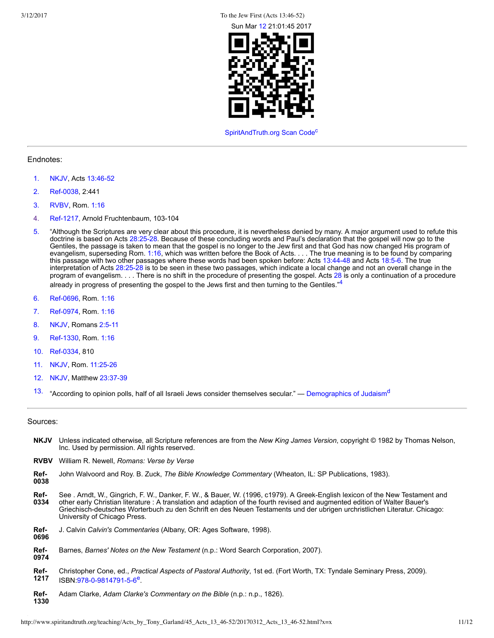3/12/2017 To the Jew First (Acts 13:46-52)



<span id="page-10-23"></span><span id="page-10-22"></span><span id="page-10-15"></span>[SpiritAndTruth.org Scan Code](http://www.spiritandtruth.org/)<sup>[c](#page-11-2)</sup>

#### Endnotes:

- <span id="page-10-0"></span>[1.](#page-0-0) [NKJV,](#page-10-12) Acts 13:46-52
- <span id="page-10-1"></span>[2.](#page-4-0) Ref-0038, 2:441
- <span id="page-10-2"></span>[3.](#page-4-1) [RVBV](#page-10-14), Rom. [1:16](http://www.spiritandtruth.org/bibles/nasb/b45c001.htm#Rom._C1V16)
- <span id="page-10-17"></span>[4.](#page-10-15) Ref-1217, Arnold Fruchtenbaum, 103-104
- <span id="page-10-3"></span>[5.](#page-5-0) "Although the Scriptures are very clear about this procedure, it is nevertheless denied by many. A major argument used to refute this doctrine is based on Acts [28:2528.](http://www.spiritandtruth.org/bibles/nasb/b44c028.htm#Acts_C28V25) Because of these concluding words and Paul's declaration that the gospel will now go to the Gentiles, the passage is taken to mean that the gospel is no longer to the Jew first and that God has now changed His program of evangelism, superseding Rom. [1:16,](http://www.spiritandtruth.org/bibles/nasb/b45c001.htm#Rom._C1V16) which was written before the Book of Acts. . . . The true meaning is to be found by comparing this passage with two other passages where these words had been spoken before: Acts [13:4448](http://www.spiritandtruth.org/bibles/nasb/b44c013.htm#Acts_C13V44) and Acts [18:56](http://www.spiritandtruth.org/bibles/nasb/b44c018.htm#Acts_C18V5). The true interpretation of Acts [28:2528](http://www.spiritandtruth.org/bibles/nasb/b44c028.htm#Acts_C28V25) is to be seen in these two passages, which indicate a local change and not an overall change in the program of evangelism. . . . There is no shift in the procedure of presenting the gospel. Acts [28](http://www.spiritandtruth.org/bibles/nasb/b44c028.htm#Acts_C28V1) is only a continuation of a procedure already in progress of presenting the gospel to the Jews first and then turning to the Gentiles."<sup>[4](#page-10-17)</sup>
- <span id="page-10-4"></span>[6.](#page-6-0) Ref-0696, Rom. [1:16](http://www.spiritandtruth.org/bibles/nasb/b45c001.htm#Rom._C1V16)
- <span id="page-10-5"></span>[7.](#page-6-1) Ref-0974, Rom. [1:16](http://www.spiritandtruth.org/bibles/nasb/b45c001.htm#Rom._C1V16)
- <span id="page-10-6"></span>[8.](#page-6-2) [NKJV,](#page-10-12) Romans 2:5-11
- <span id="page-10-7"></span>[9.](#page-7-0) Ref-1330, Rom. [1:16](http://www.spiritandtruth.org/bibles/nasb/b45c001.htm#Rom._C1V16)
- <span id="page-10-8"></span>[10.](#page-7-1) Ref-0334, 810
- <span id="page-10-9"></span>[11.](#page-8-0) [NKJV,](#page-10-12) Rom. 11:25-26
- <span id="page-10-10"></span>[12.](#page-8-1) [NKJV,](#page-10-12) Matthew 23:37-39
- <span id="page-10-11"></span>[13.](#page-9-0) "According to opinion polls, half of all Israeli Jews consider themselves secular." — [Demographics of Judaism](https://berkleycenter.georgetown.edu/essays/demographics-of-judaism)<sup>[d](#page-11-3)</sup>

#### Sources:

- <span id="page-10-12"></span>**NKJV** Unless indicated otherwise, all Scripture references are from the *New King James Version*, copyright © 1982 by Thomas Nelson, Inc. Used by permission. All rights reserved.
- <span id="page-10-14"></span>**RVBV** William R. Newell, *Romans: Verse by Verse*
- <span id="page-10-13"></span>**Ref-**John Walvoord and Roy. B. Zuck, *The Bible Knowledge Commentary* (Wheaton, IL: SP Publications, 1983).
- **0038**
- <span id="page-10-21"></span>**Ref-0334** See . Arndt, W., Gingrich, F. W., Danker, F. W., & Bauer, W. (1996, c1979). A Greek-English lexicon of the New Testament and other early Christian literature : A translation and adaption of the fourth revised and augmented edition of Walter Bauer's Griechisch-deutsches Worterbuch zu den Schrift en des Neuen Testaments und der ubrigen urchristlichen Literatur. Chicago: University of Chicago Press.
- <span id="page-10-18"></span>**Ref-0696** J. Calvin *Calvin's Commentaries* (Albany, OR: Ages Software, 1998).
- <span id="page-10-19"></span>**Ref-0974** Barnes, *Barnes' Notes on the New Testament* (n.p.: Word Search Corporation, 2007).
- <span id="page-10-24"></span><span id="page-10-16"></span>**Ref-1217** Christopher Cone, ed., *Practical Aspects of Pastoral Authority*, 1st ed. (Fort Worth, TX: Tyndale Seminary Press, 2009). ISBN:978-0-9814791-5-6<sup>[e](#page-11-4)</sup>.
- <span id="page-10-20"></span>**Ref-1330** Adam Clarke, *Adam Clarke's Commentary on the Bible* (n.p.: n.p., 1826).